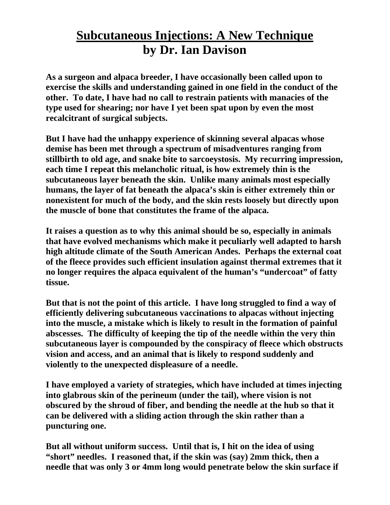## **Subcutaneous Injections: A New Technique by Dr. Ian Davison**

**As a surgeon and alpaca breeder, I have occasionally been called upon to exercise the skills and understanding gained in one field in the conduct of the other. To date, I have had no call to restrain patients with manacies of the type used for shearing; nor have I yet been spat upon by even the most recalcitrant of surgical subjects.** 

**But I have had the unhappy experience of skinning several alpacas whose demise has been met through a spectrum of misadventures ranging from stillbirth to old age, and snake bite to sarcoeystosis. My recurring impression, each time I repeat this melancholic ritual, is how extremely thin is the subcutaneous layer beneath the skin. Unlike many animals most especially humans, the layer of fat beneath the alpaca's skin is either extremely thin or nonexistent for much of the body, and the skin rests loosely but directly upon the muscle of bone that constitutes the frame of the alpaca.** 

**It raises a question as to why this animal should be so, especially in animals that have evolved mechanisms which make it peculiarly well adapted to harsh high altitude climate of the South American Andes. Perhaps the external coat of the fleece provides such efficient insulation against thermal extremes that it no longer requires the alpaca equivalent of the human's "undercoat" of fatty tissue.** 

**But that is not the point of this article. I have long struggled to find a way of efficiently delivering subcutaneous vaccinations to alpacas without injecting into the muscle, a mistake which is likely to result in the formation of painful abscesses. The difficulty of keeping the tip of the needle within the very thin subcutaneous layer is compounded by the conspiracy of fleece which obstructs vision and access, and an animal that is likely to respond suddenly and violently to the unexpected displeasure of a needle.** 

**I have employed a variety of strategies, which have included at times injecting into glabrous skin of the perineum (under the tail), where vision is not obscured by the shroud of fiber, and bending the needle at the hub so that it can be delivered with a sliding action through the skin rather than a puncturing one.** 

**But all without uniform success. Until that is, I hit on the idea of using "short" needles. I reasoned that, if the skin was (say) 2mm thick, then a needle that was only 3 or 4mm long would penetrate below the skin surface if**